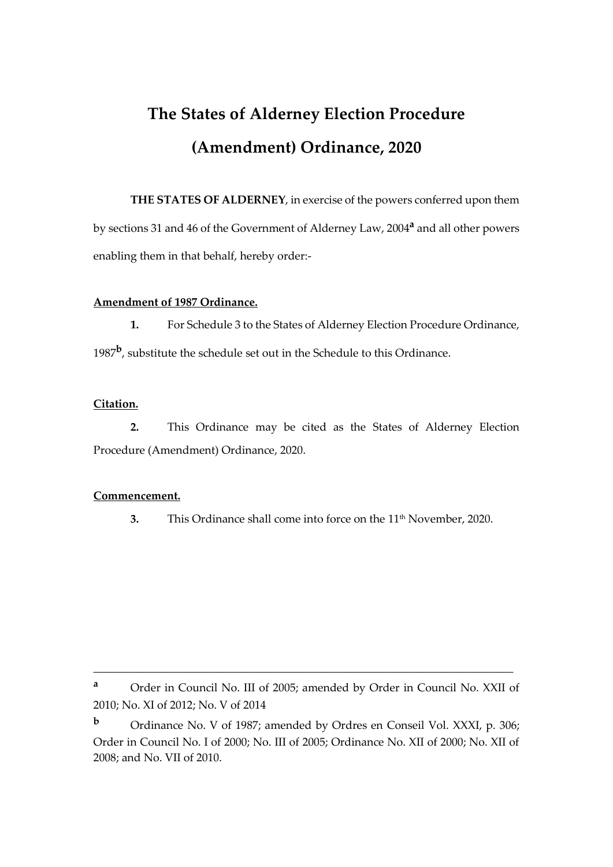# **The States of Alderney Election Procedure (Amendment) Ordinance, 2020**

**THE STATES OF ALDERNEY**, in exercise of the powers conferred upon them by sections 31 and 46 of the Government of Alderney Law, 2004**<sup>a</sup>** and all other powers enabling them in that behalf, hereby order:-

## **Amendment of 1987 Ordinance.**

**1.** For Schedule 3 to the States of Alderney Election Procedure Ordinance, 1987**<sup>b</sup>** , substitute the schedule set out in the Schedule to this Ordinance.

## **Citation.**

**2.** This Ordinance may be cited as the States of Alderney Election Procedure (Amendment) Ordinance, 2020.

#### **Commencement.**

**3.** This Ordinance shall come into force on the 11<sup>th</sup> November, 2020.

\_\_\_\_\_\_\_\_\_\_\_\_\_\_\_\_\_\_\_\_\_\_\_\_\_\_\_\_\_\_\_\_\_\_\_\_\_\_\_\_\_\_\_\_\_\_\_\_\_\_\_\_\_\_\_\_\_\_\_\_\_\_\_\_\_\_\_\_

**<sup>a</sup>** Order in Council No. III of 2005; amended by Order in Council No. XXII of 2010; No. XI of 2012; No. V of 2014

**<sup>b</sup>** Ordinance No. V of 1987; amended by Ordres en Conseil Vol. XXXI, p. 306; Order in Council No. I of 2000; No. III of 2005; Ordinance No. XII of 2000; No. XII of 2008; and No. VII of 2010.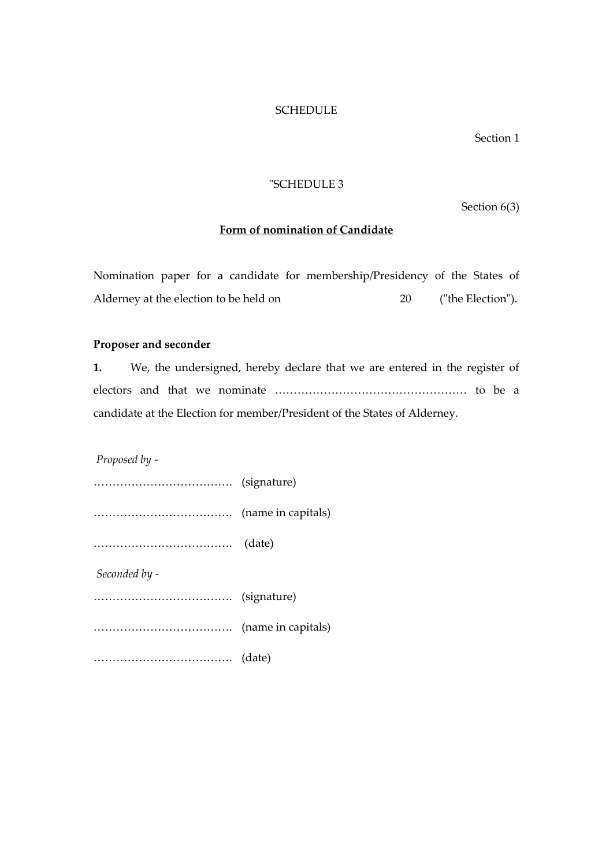## **SCHEDULE**

Section 1

#### "SCHEDULE 3

Section 6(3)

## **Form of nomination of Candidate**

Nomination paper for a candidate for membership/Presidency of the States of Alderney at the election to be held on 20 ("the Election").

#### **Proposer and seconder**

**1.** We, the undersigned, hereby declare that we are entered in the register of electors and that we nominate …………………………………………… to be a candidate at the Election for member/President of the States of Alderney.

*Proposed by -*

………………………………. (signature) ………………………………. (name in capitals) ………………………………. (date) *Seconded by -* ………………………………. (signature) ………………………………. (name in capitals) ………………………………. (date)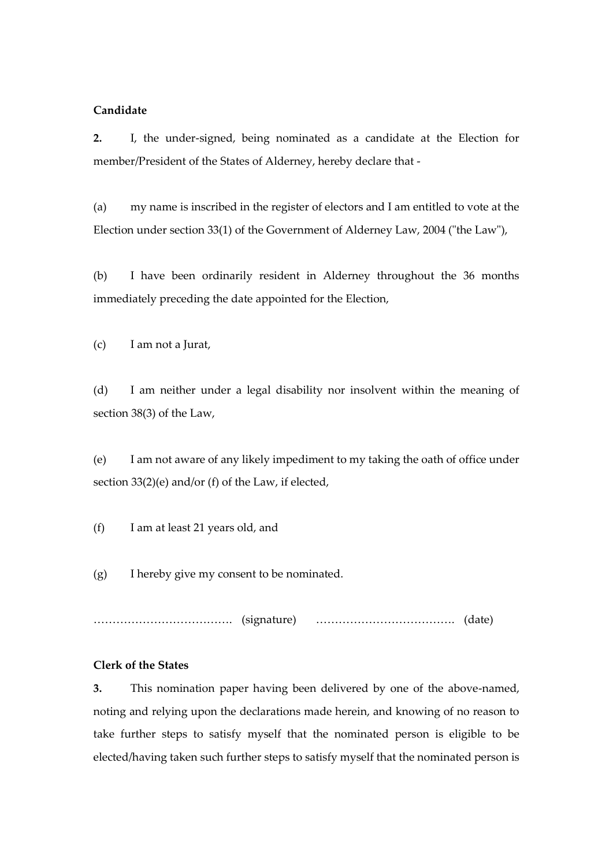## **Candidate**

**2.** I, the under-signed, being nominated as a candidate at the Election for member/President of the States of Alderney, hereby declare that -

(a) my name is inscribed in the register of electors and I am entitled to vote at the Election under section 33(1) of the Government of Alderney Law, 2004 ("the Law"),

(b) I have been ordinarily resident in Alderney throughout the 36 months immediately preceding the date appointed for the Election,

(c) I am not a Jurat,

(d) I am neither under a legal disability nor insolvent within the meaning of section 38(3) of the Law,

(e) I am not aware of any likely impediment to my taking the oath of office under section 33(2)(e) and/or (f) of the Law, if elected,

(f) I am at least 21 years old, and

(g) I hereby give my consent to be nominated.

………………………………. (signature) ………………………………. (date)

## **Clerk of the States**

**3.** This nomination paper having been delivered by one of the above-named, noting and relying upon the declarations made herein, and knowing of no reason to take further steps to satisfy myself that the nominated person is eligible to be elected/having taken such further steps to satisfy myself that the nominated person is